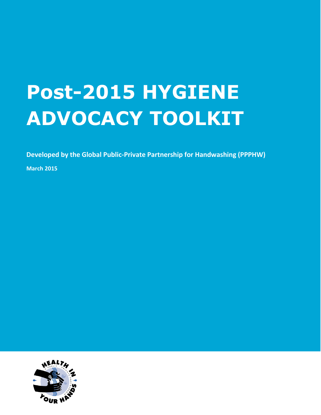# **Post-2015 HYGIENE ADVOCACY TOOLKIT**

**Developed by the Global Public-Private Partnership for Handwashing (PPPHW)**

**March 2015**

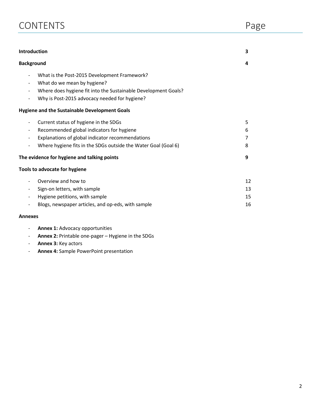| <b>CONTENTS</b> | Page |
|-----------------|------|
|                 |      |

| Introduction                                                   | 3  |
|----------------------------------------------------------------|----|
| <b>Background</b>                                              | 4  |
| What is the Post-2015 Development Framework?                   |    |
| What do we mean by hygiene?                                    |    |
| Where does hygiene fit into the Sustainable Development Goals? |    |
| Why is Post-2015 advocacy needed for hygiene?                  |    |
| <b>Hygiene and the Sustainable Development Goals</b>           |    |
| Current status of hygiene in the SDGs                          | 5  |
| Recommended global indicators for hygiene                      | 6  |
| Explanations of global indicator recommendations               | 7  |
| Where hygiene fits in the SDGs outside the Water Goal (Goal 6) | 8  |
| The evidence for hygiene and talking points                    | 9  |
| <b>Tools to advocate for hygiene</b>                           |    |
| Overview and how to                                            | 12 |
| Sign-on letters, with sample                                   | 13 |
| Hygiene petitions, with sample                                 | 15 |
| Blogs, newspaper articles, and op-eds, with sample             | 16 |
| $A$ nnovoc                                                     |    |

#### **Annexes**

- **Annex 1:** Advocacy opportunities
- **Annex 2:** Printable one-pager Hygiene in the SDGs
- **Annex 3:** Key actors
- **Annex 4:** Sample PowerPoint presentation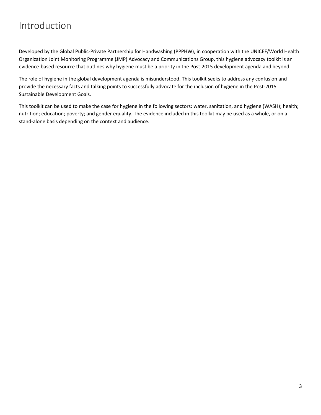Developed by the Global Public-Private Partnership for Handwashing (PPPHW), in cooperation with the UNICEF/World Health Organization Joint Monitoring Programme (JMP) Advocacy and Communications Group, this hygiene advocacy toolkit is an evidence-based resource that outlines why hygiene must be a priority in the Post-2015 development agenda and beyond.

The role of hygiene in the global development agenda is misunderstood. This toolkit seeks to address any confusion and provide the necessary facts and talking points to successfully advocate for the inclusion of hygiene in the Post-2015 Sustainable Development Goals.

This toolkit can be used to make the case for hygiene in the following sectors: water, sanitation, and hygiene (WASH); health; nutrition; education; poverty; and gender equality. The evidence included in this toolkit may be used as a whole, or on a stand-alone basis depending on the context and audience.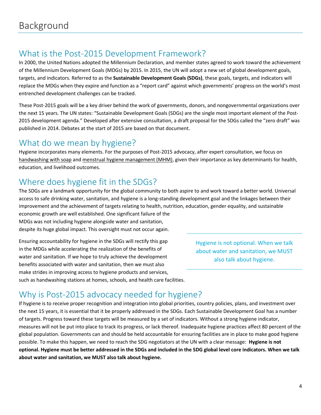# What is the Post-2015 Development Framework?

In 2000, the United Nations adopted the Millennium Declaration, and member states agreed to work toward the achievement of the Millennium Development Goals (MDGs) by 2015. In 2015, the UN will adopt a new set of global development goals, targets, and indicators. Referred to as the **Sustainable Development Goals (SDGs)**, these goals, targets, and indicators will replace the MDGs when they expire and function as a "report card" against which governments' progress on the world's most entrenched development challenges can be tracked.

These Post-2015 goals will be a key driver behind the work of governments, donors, and nongovernmental organizations over the next 15 years. The UN states: "Sustainable Development Goals (SDGs) are the single most important element of the Post-2015 development agenda." Developed after extensive consultation, a draft proposal for the SDGs called the "zero draft" was published in 2014. Debates at the start of 2015 are based on that document.

### What do we mean by hygiene?

Hygiene incorporates many elements. For the purposes of Post-2015 advocacy, after expert consultation, we focus on handwashing with soap and menstrual hygiene management (MHM), given their importance as key determinants for health, education, and livelihood outcomes.

# Where does hygiene fit in the SDGs?

The SDGs are a landmark opportunity for the global community to both aspire to and work toward a better world. Universal access to safe drinking water, sanitation, and hygiene is a long-standing development goal and the linkages between their improvement and the achievement of targets relating to health, nutrition, education, gender equality, and sustainable economic growth are well established. One significant failure of the

MDGs was not including hygiene alongside water and sanitation, despite its huge global impact. This oversight must not occur again.

Ensuring accountability for hygiene in the SDGs will rectify this gap in the MDGs while accelerating the realization of the benefits of water and sanitation. If we hope to truly achieve the development benefits associated with water and sanitation, then we must also make strides in improving access to hygiene products and services, such as handwashing stations at homes, schools, and health care facilities.

Hygiene is not optional. When we talk about water and sanitation, we MUST also talk about hygiene.

# Why is Post-2015 advocacy needed for hygiene?

If hygiene is to receive proper recognition and integration into global priorities, country policies, plans, and investment over the next 15 years, it is essential that it be properly addressed in the SDGs. Each Sustainable Development Goal has a number of targets. Progress toward these targets will be measured by a set of indicators. Without a strong hygiene indicator, measures will not be put into place to track its progress, or lack thereof. Inadequate hygiene practices affect 80 percent of the global population. Governments can and should be held accountable for ensuring facilities are in place to make good hygiene possible. To make this happen, we need to reach the SDG negotiators at the UN with a clear message: **Hygiene is not optional. Hygiene must be better addressed in the SDGs and included in the SDG global level core indicators. When we talk about water and sanitation, we MUST also talk about hygiene.**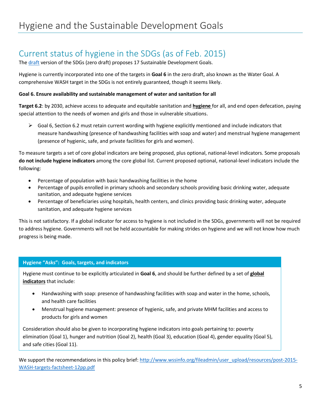# Current status of hygiene in the SDGs (as of Feb. 2015)

The [draft](https://sustainabledevelopment.un.org/focussdgs.html) version of the SDGs (zero draft) proposes 17 Sustainable Development Goals.

Hygiene is currently incorporated into one of the targets in **Goal 6** in the zero draft, also known as the Water Goal. A comprehensive WASH target in the SDGs is not entirely guaranteed, though it seems likely.

#### **Goal 6. Ensure availability and sustainable management of water and sanitation for all**

**Target 6.2**: by 2030, achieve access to adequate and equitable sanitation and **hygiene** for all, and end open defecation, paying special attention to the needs of women and girls and those in vulnerable situations.

 $\triangleright$  Goal 6, Section 6.2 must retain current wording with hygiene explicitly mentioned and include indicators that measure handwashing (presence of handwashing facilities with soap and water) and menstrual hygiene management (presence of hygienic, safe, and private facilities for girls and women).

To measure targets a set of core global indicators are being proposed, plus optional, national-level indicators. Some proposals **do not include hygiene indicators** among the core global list. Current proposed optional, national-level indicators include the following:

- Percentage of population with basic handwashing facilities in the home
- Percentage of pupils enrolled in primary schools and secondary schools providing basic drinking water, adequate sanitation, and adequate hygiene services
- Percentage of beneficiaries using hospitals, health centers, and clinics providing basic drinking water, adequate sanitation, and adequate hygiene services

This is not satisfactory. If a global indicator for access to hygiene is not included in the SDGs, governments will not be required to address hygiene. Governments will not be held accountable for making strides on hygiene and we will not know how much progress is being made.

#### **Hygiene "Asks": Goals, targets, and indicators**

Hygiene must continue to be explicitly articulated in **Goal 6**, and should be further defined by a set of **global indicators** that include:

- Handwashing with soap: presence of handwashing facilities with soap and water in the home, schools, and health care facilities
- Menstrual hygiene management: presence of hygienic, safe, and private MHM facilities and access to products for girls and women

Consideration should also be given to incorporating hygiene indicators into goals pertaining to: poverty elimination (Goal 1), hunger and nutrition (Goal 2), health (Goal 3), education (Goal 4), gender equality (Goal 5), and safe cities (Goal 11).

We support the recommendations in this policy brief[: http://www.wssinfo.org/fileadmin/user\\_upload/resources/post-2015-](http://www.wssinfo.org/fileadmin/user_upload/resources/post-2015-WASH-targets-factsheet-12pp.pdf) [WASH-targets-factsheet-12pp.pdf](http://www.wssinfo.org/fileadmin/user_upload/resources/post-2015-WASH-targets-factsheet-12pp.pdf)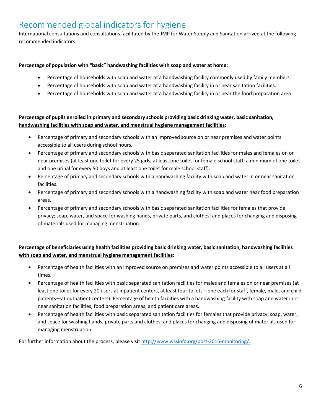# Recommended global indicators for hygiene

International consultations and consultations facilitated by the JMP for Water Supply and Sanitation arrived at the following recommended indicators:

#### **Percentage of population with "basic" handwashing facilities with soap and water at home:**

- Percentage of households with soap and water at a handwashing facility commonly used by family members.
- Percentage of households with soap and water at a handwashing facility in or near sanitation facilities.
- Percentage of households with soap and water at a handwashing facility in or near the food preparation area.

#### **Percentage of pupils enrolled in primary and secondary schools providing basic drinking water, basic sanitation, handwashing facilities with soap and water, and menstrual hygiene management facilities**:

- Percentage of primary and secondary schools with an improved source on or near premises and water points accessible to all users during school hours.
- Percentage of primary and secondary schools with basic separated sanitation facilities for males and females on or near premises (at least one toilet for every 25 girls, at least one toilet for female school staff, a minimum of one toilet and one urinal for every 50 boys and at least one toilet for male school staff).
- Percentage of primary and secondary schools with a handwashing facility with soap and water in or near sanitation facilities.
- Percentage of primary and secondary schools with a handwashing facility with soap and water near food preparation areas.
- Percentage of primary and secondary schools with basic separated sanitation facilities for females that provide privacy; soap, water, and space for washing hands, private parts, and clothes; and places for changing and disposing of materials used for managing menstruation.

#### **Percentage of beneficiaries using health facilities providing basic drinking water, basic sanitation, handwashing facilities with soap and water, and menstrual hygiene management facilities:**

- Percentage of health facilities with an improved source on premises and water points accessible to all users at all times.
- Percentage of health facilities with basic separated sanitation facilities for males and females on or near premises (at least one toilet for every 20 users at inpatient centers, at least four toilets—one each for staff, female, male, and child patients—at outpatient centers). Percentage of health facilities with a handwashing facility with soap and water in or near sanitation facilities, food preparation areas, and patient care areas.
- Percentage of health facilities with basic separated sanitation facilities for females that provide privacy; soap, water, and space for washing hands, private parts and clothes; and places for changing and disposing of materials used for managing menstruation.

For further information about the process, please visi[t http://www.wssinfo.org/post-2015-monitoring/.](http://www.wssinfo.org/post-2015-monitoring/)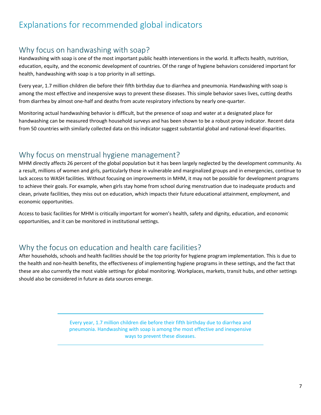# Explanations for recommended global indicators

### Why focus on handwashing with soap?

Handwashing with soap is one of the most important public health interventions in the world. It affects health, nutrition, education, equity, and the economic development of countries. Of the range of hygiene behaviors considered important for health, handwashing with soap is a top priority in all settings.

Every year, 1.7 million children die before their fifth birthday due to diarrhea and pneumonia. Handwashing with soap is among the most effective and inexpensive ways to prevent these diseases. This simple behavior saves lives, cutting deaths from diarrhea by almost one-half and deaths from acute respiratory infections by nearly one-quarter.

Monitoring actual handwashing behavior is difficult, but the presence of soap and water at a designated place for handwashing can be measured through household surveys and has been shown to be a robust proxy indicator. Recent data from 50 countries with similarly collected data on this indicator suggest substantial global and national-level disparities.

#### Why focus on menstrual hygiene management?

MHM directly affects 26 percent of the global population but it has been largely neglected by the development community. As a result, millions of women and girls, particularly those in vulnerable and marginalized groups and in emergencies, continue to lack access to WASH facilities. Without focusing on improvements in MHM, it may not be possible for development programs to achieve their goals. For example, when girls stay home from school during menstruation due to inadequate products and clean, private facilities, they miss out on education, which impacts their future educational attainment, employment, and economic opportunities.

Access to basic facilities for MHM is critically important for women's health, safety and dignity, education, and economic opportunities, and it can be monitored in institutional settings.

### Why the focus on education and health care facilities?

After households, schools and health facilities should be the top priority for hygiene program implementation. This is due to the health and non-health benefits, the effectiveness of implementing hygiene programs in these settings, and the fact that these are also currently the most viable settings for global monitoring. Workplaces, markets, transit hubs, and other settings should also be considered in future as data sources emerge.

> Every year, 1.7 million children die before their fifth birthday due to diarrhea and pneumonia. Handwashing with soap is among the most effective and inexpensive ways to prevent these diseases.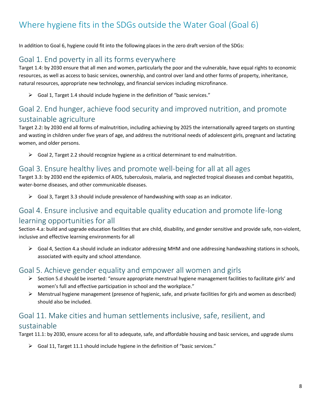# Where hygiene fits in the SDGs outside the Water Goal (Goal 6)

In addition to Goal 6, hygiene could fit into the following places in the zero draft version of the SDGs:

### Goal 1. End poverty in all its forms everywhere

Target 1.4: by 2030 ensure that all men and women, particularly the poor and the vulnerable, have equal rights to economic resources, as well as access to basic services, ownership, and control over land and other forms of property, inheritance, natural resources, appropriate new technology, and financial services including microfinance.

Goal 1, Target 1.4 should include hygiene in the definition of "basic services."

### Goal 2. End hunger, achieve food security and improved nutrition, and promote sustainable agriculture

Target 2.2: by 2030 end all forms of malnutrition, including achieving by 2025 the internationally agreed targets on stunting and wasting in children under five years of age, and address the nutritional needs of adolescent girls, pregnant and lactating women, and older persons.

 $\triangleright$  Goal 2, Target 2.2 should recognize hygiene as a critical determinant to end malnutrition.

#### Goal 3. Ensure healthy lives and promote well-being for all at all ages

Target 3.3: by 2030 end the epidemics of AIDS, tuberculosis, malaria, and neglected tropical diseases and combat hepatitis, water-borne diseases, and other communicable diseases.

 $\triangleright$  Goal 3, Target 3.3 should include prevalence of handwashing with soap as an indicator.

### Goal 4. Ensure inclusive and equitable quality education and promote life-long learning opportunities for all

Section 4.a: build and upgrade education facilities that are child, disability, and gender sensitive and provide safe, non-violent, inclusive and effective learning environments for all

 $\triangleright$  Goal 4, Section 4.a should include an indicator addressing MHM and one addressing handwashing stations in schools, associated with equity and school attendance.

#### Goal 5. Achieve gender equality and empower all women and girls

- $\triangleright$  Section 5.d should be inserted: "ensure appropriate menstrual hygiene management facilities to facilitate girls' and women's full and effective participation in school and the workplace."
- $\triangleright$  Menstrual hygiene management (presence of hygienic, safe, and private facilities for girls and women as described) should also be included.

### Goal 11. Make cities and human settlements inclusive, safe, resilient, and sustainable

Target 11.1: by 2030, ensure access for all to adequate, safe, and affordable housing and basic services, and upgrade slums

 $\triangleright$  Goal 11, Target 11.1 should include hygiene in the definition of "basic services."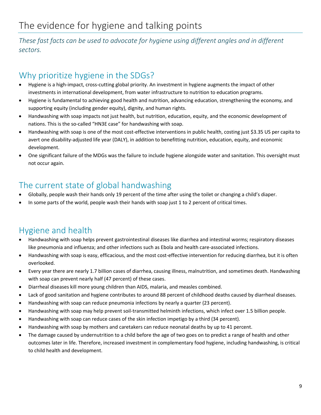*These fast facts can be used to advocate for hygiene using different angles and in different sectors.* 

# Why prioritize hygiene in the SDGs?

- Hygiene is a high-impact, cross-cutting global priority. An investment in hygiene augments the impact of other investments in international development, from water infrastructure to nutrition to education programs.
- Hygiene is fundamental to achieving good health and nutrition, advancing education, strengthening the economy, and supporting equity (including gender equity), dignity, and human rights.
- Handwashing with soap impacts not just health, but nutrition, education, equity, and the economic development of nations. This is the so-called "HN3E case" for handwashing with soap.
- Handwashing with soap is one of the most cost-effective interventions in public health, costing just \$3.35 US per capita to avert one disability-adjusted life year (DALY), in addition to benefitting nutrition, education, equity, and economic development.
- One significant failure of the MDGs was the failure to include hygiene alongside water and sanitation. This oversight must not occur again.

# The current state of global handwashing

- Globally, people wash their hands only 19 percent of the time after using the toilet or changing a child's diaper.
- In some parts of the world, people wash their hands with soap just 1 to 2 percent of critical times.

# Hygiene and health

- Handwashing with soap helps prevent gastrointestinal diseases like diarrhea and intestinal worms; respiratory diseases like pneumonia and influenza; and other infections such as Ebola and health care-associated infections.
- Handwashing with soap is easy, efficacious, and the most cost-effective intervention for reducing diarrhea, but it is often overlooked.
- Every year there are nearly 1.7 billion cases of diarrhea, causing illness, malnutrition, and sometimes death. Handwashing with soap can prevent nearly half (47 percent) of these cases.
- Diarrheal diseases kill more young children than AIDS, malaria, and measles combined.
- Lack of good sanitation and hygiene contributes to around 88 percent of childhood deaths caused by diarrheal diseases.
- Handwashing with soap can reduce pneumonia infections by nearly a quarter (23 percent).
- Handwashing with soap may help prevent soil-transmitted helminth infections, which infect over 1.5 billion people.
- Handwashing with soap can reduce cases of the skin infection impetigo by a third (34 percent).
- Handwashing with soap by mothers and caretakers can reduce neonatal deaths by up to 41 percent.
- The damage caused by undernutrition to a child before the age of two goes on to predict a range of health and other outcomes later in life. Therefore, increased investment in complementary food hygiene, including handwashing, is critical to child health and development.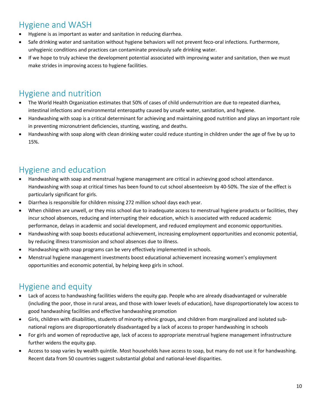### Hygiene and WASH

- Hygiene is as important as water and sanitation in reducing diarrhea.
- Safe drinking water and sanitation without hygiene behaviors will not prevent feco-oral infections. Furthermore, unhygienic conditions and practices can contaminate previously safe drinking water.
- If we hope to truly achieve the development potential associated with improving water and sanitation, then we must make strides in improving access to hygiene facilities.

## Hygiene and nutrition

- The World Health Organization estimates that 50% of cases of child undernutrition are due to repeated diarrhea, intestinal infections and environmental enteropathy caused by unsafe water, sanitation, and hygiene.
- Handwashing with soap is a critical determinant for achieving and maintaining good nutrition and plays an important role in preventing micronutrient deficiencies, stunting, wasting, and deaths.
- Handwashing with soap along with clean drinking water could reduce stunting in children under the age of five by up to 15%.

### Hygiene and education

- Handwashing with soap and menstrual hygiene management are critical in achieving good school attendance. Handwashing with soap at critical times has been found to cut school absenteeism by 40-50%. The size of the effect is particularly significant for girls.
- Diarrhea is responsible for children missing 272 million school days each year.
- When children are unwell, or they miss school due to inadequate access to menstrual hygiene products or facilities, they incur school absences, reducing and interrupting their education, which is associated with reduced academic performance, delays in academic and social development, and reduced employment and economic opportunities.
- Handwashing with soap boosts educational achievement, increasing employment opportunities and economic potential, by reducing illness transmission and school absences due to illness.
- Handwashing with soap programs can be very effectively implemented in schools.
- Menstrual hygiene management investments boost educational achievement increasing women's employment opportunities and economic potential, by helping keep girls in school.

# Hygiene and equity

- Lack of access to handwashing facilities widens the equity gap. People who are already disadvantaged or vulnerable (including the poor, those in rural areas, and those with lower levels of education), have disproportionately low access to good handwashing facilities and effective handwashing promotion
- Girls, children with disabilities, students of minority ethnic groups, and children from marginalized and isolated subnational regions are disproportionately disadvantaged by a lack of access to proper handwashing in schools
- For girls and women of reproductive age, lack of access to appropriate menstrual hygiene management infrastructure further widens the equity gap.
- Access to soap varies by wealth quintile. Most households have access to soap, but many do not use it for handwashing. Recent data from 50 countries suggest substantial global and national-level disparities.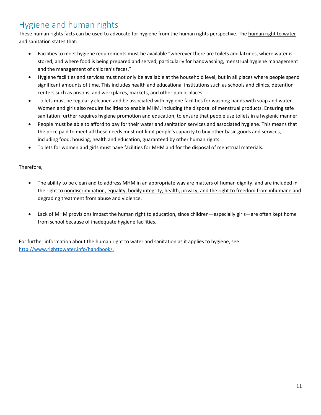### Hygiene and human rights

These human rights facts can be used to advocate for hygiene from the human rights perspective. The human right to water and sanitation states that:

- Facilities to meet hygiene requirements must be available "wherever there are toilets and latrines, where water is stored, and where food is being prepared and served, particularly for handwashing, menstrual hygiene management and the management of children's feces."
- Hygiene facilities and services must not only be available at the household level, but in all places where people spend significant amounts of time. This includes health and educational institutions such as schools and clinics, detention centers such as prisons, and workplaces, markets, and other public places.
- Toilets must be regularly cleaned and be associated with hygiene facilities for washing hands with soap and water. Women and girls also require facilities to enable MHM, including the disposal of menstrual products. Ensuring safe sanitation further requires hygiene promotion and education, to ensure that people use toilets in a hygienic manner.
- People must be able to afford to pay for their water and sanitation services and associated hygiene. This means that the price paid to meet all these needs must not limit people's capacity to buy other basic goods and services, including food, housing, health and education, guaranteed by other human rights.
- Toilets for women and girls must have facilities for MHM and for the disposal of menstrual materials.

#### Therefore,

- The ability to be clean and to address MHM in an appropriate way are matters of human dignity, and are included in the right to nondiscrimination, equality, bodily integrity, health, privacy, and the right to freedom from inhumane and degrading treatment from abuse and violence.
- Lack of MHM provisions impact the human right to education, since children—especially girls—are often kept home from school because of inadequate hygiene facilities.

For further information about the human right to water and sanitation as it applies to hygiene, see [http://www.righttowater.info/handbook/.](http://www.righttowater.info/handbook/)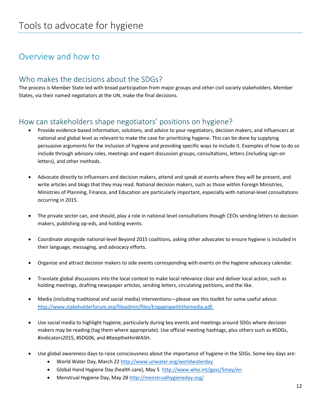### Overview and how to

#### Who makes the decisions about the SDGs?

The process is Member State-led with broad participation from major groups and other civil society stakeholders. Member States, via their named negotiators at the UN, make the final decisions.

#### How can stakeholders shape negotiators' positions on hygiene?

- Provide evidence-based information, solutions, and advice to your negotiators, decision makers, and influencers at national and global level as relevant to make the case for prioritizing hygiene. This can be done by supplying persuasive arguments for the inclusion of hygiene and providing specific ways to include it. Examples of how to do so include through advisory roles, meetings and expert discussion groups, consultations, letters (including sign-on letters), and other methods.
- Advocate directly to influencers and decision makers, attend and speak at events where they will be present, and write articles and blogs that they may read. National decision makers, such as those within Foreign Ministries, Ministries of Planning, Finance, and Education are particularly important, especially with national-level consultations occurring in 2015.
- The private sector can, and should, play a role in national level consultations though CEOs sending letters to decision makers, publishing op-eds, and holding events.
- Coordinate alongside national-level Beyond 2015 coalitions, asking other advocates to ensure hygiene is included in their language, messaging, and advocacy efforts.
- Organize and attract decision makers to side events corresponding with events on the hygiene advocacy calendar.
- Translate global discussions into the local context to make local relevance clear and deliver local action, such as holding meetings, drafting newspaper articles, sending letters, circulating petitions, and the like.
- Media (including traditional and social media) interventions—please see this toolkit for some useful advice: [http://www.stakeholderforum.org/fileadmin/files/Engagingwiththemedia.pdf.](http://www.stakeholderforum.org/fileadmin/files/Engagingwiththemedia.pdf)
- Use social media to highlight hygiene, particularly during key events and meetings around SDGs where decision makers may be reading (tag them where appropriate). Use official meeting hashtags, plus others such as #SDGs, #indicators2015, #SDG06, and #KeeptheHinWASH.
- Use global awareness days to raise consciousness about the importance of hygiene in the SDGs. Some key days are:
	- World Water Day, March 22 <http://www.unwater.org/worldwaterday>
	- Global Hand Hygiene Day (health care), May 5 <http://www.who.int/gpsc/5may/en>
	- Menstrual Hygiene Day, May 2[8 http://menstrualhygieneday.org/](http://menstrualhygieneday.org/)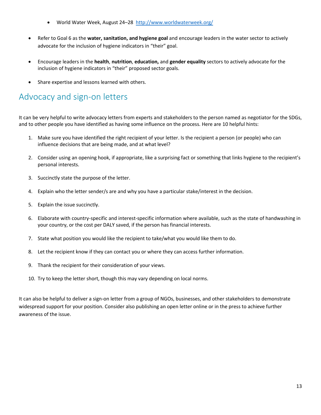- World Water Week, August 24-28 <http://www.worldwaterweek.org/>
- Refer to Goal 6 as the **water, sanitation, and hygiene goal** and encourage leaders in the water sector to actively advocate for the inclusion of hygiene indicators in "their" goal.
- Encourage leaders in the **health**, **nutrition**, **education,** and **gender equality** sectors to actively advocate for the inclusion of hygiene indicators in "their" proposed sector goals.
- Share expertise and lessons learned with others.

### Advocacy and sign-on letters

It can be very helpful to write advocacy letters from experts and stakeholders to the person named as negotiator for the SDGs, and to other people you have identified as having some influence on the process. Here are 10 helpful hints:

- 1. Make sure you have identified the right recipient of your letter. Is the recipient a person (or people) who can influence decisions that are being made, and at what level?
- 2. Consider using an opening hook, if appropriate, like a surprising fact or something that links hygiene to the recipient's personal interests.
- 3. Succinctly state the purpose of the letter.
- 4. Explain who the letter sender/s are and why you have a particular stake/interest in the decision.
- 5. Explain the issue succinctly.
- 6. Elaborate with country-specific and interest-specific information where available, such as the state of handwashing in your country, or the cost per DALY saved, if the person has financial interests.
- 7. State what position you would like the recipient to take/what you would like them to do.
- 8. Let the recipient know if they can contact you or where they can access further information.
- 9. Thank the recipient for their consideration of your views.
- 10. Try to keep the letter short, though this may vary depending on local norms.

It can also be helpful to deliver a sign-on letter from a group of NGOs, businesses, and other stakeholders to demonstrate widespread support for your position. Consider also publishing an open letter online or in the press to achieve further awareness of the issue.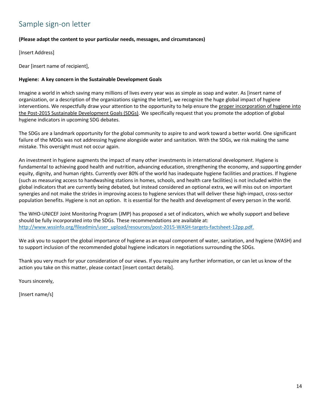### Sample sign-on letter

#### **(Please adapt the content to your particular needs, messages, and circumstances)**

[Insert Address]

Dear [insert name of recipient],

#### **Hygiene: A key concern in the Sustainable Development Goals**

Imagine a world in which saving many millions of lives every year was as simple as soap and water. As [insert name of organization, or a description of the organizations signing the letter], we recognize the huge global impact of hygiene interventions. We respectfully draw your attention to the opportunity to help ensure the proper incorporation of hygiene into the Post-2015 Sustainable Development Goals (SDGs). We specifically request that you promote the adoption of global hygiene indicators in upcoming SDG debates.

The SDGs are a landmark opportunity for the global community to aspire to and work toward a better world. One significant failure of the MDGs was not addressing hygiene alongside water and sanitation. With the SDGs, we risk making the same mistake. This oversight must not occur again.

An investment in hygiene augments the impact of many other investments in international development. Hygiene is fundamental to achieving good health and nutrition, advancing education, strengthening the economy, and supporting gender equity, dignity, and human rights. Currently over 80% of the world has inadequate hygiene facilities and practices. If hygiene (such as measuring access to handwashing stations in homes, schools, and health care facilities) is not included within the global indicators that are currently being debated, but instead considered an optional extra, we will miss out on important synergies and not make the strides in improving access to hygiene services that will deliver these high-impact, cross-sector population benefits. Hygiene is not an option. It is essential for the health and development of every person in the world.

The WHO-UNICEF Joint Monitoring Program (JMP) has proposed a set of indicators, which we wholly support and believe should be fully incorporated into the SDGs. These recommendations are available at: [http://www.wssinfo.org/fileadmin/user\\_upload/resources/post-2015-WASH-targets-factsheet-12pp.pdf.](http://www.wssinfo.org/fileadmin/user_upload/resources/post-2015-WASH-targets-factsheet-12pp.pdf)

We ask you to support the global importance of hygiene as an equal component of water, sanitation, and hygiene (WASH) and to support inclusion of the recommended global hygiene indicators in negotiations surrounding the SDGs.

Thank you very much for your consideration of our views. If you require any further information, or can let us know of the action you take on this matter, please contact [insert contact details].

Yours sincerely,

[Insert name/s]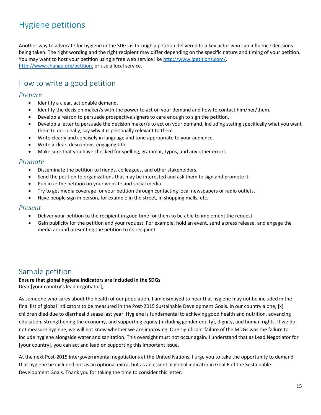# Hygiene petitions

Another way to advocate for hygiene in the SDGs is through a petition delivered to a key actor who can influence decisions being taken. The right wording and the right recipient may differ depending on the specific nature and timing of your petition. You may want to host your petition using a free web service like [http://www.ipetitions.com/,](http://www.ipetitions.com/) [http://www.change.org/petition,](http://www.change.org/petition) or use a local service.

### How to write a good petition

#### *Prepare*

- Identify a clear, actionable demand.
- Identify the decision maker/s with the power to act on your demand and how to contact him/her/them.
- Develop a reason to persuade prospective signers to care enough to sign the petition.
- Develop a letter to persuade the decision maker/s to act on your demand, including stating specifically what you want them to do. Ideally, say why it is personally relevant to them.
- Write clearly and concisely in language and tone appropriate to your audience.
- Write a clear, descriptive, engaging title.
- Make sure that you have checked for spelling, grammar, typos, and any other errors.

#### *Promote*

- Disseminate the petition to friends, colleagues, and other stakeholders.
- Send the petition to organizations that may be interested and ask them to sign and promote it.
- Publicize the petition on your website and social media.
- Try to get media coverage for your petition through contacting local newspapers or radio outlets.
- Have people sign in person, for example in the street, in shopping malls, etc.

#### *Present*

- Deliver your petition to the recipient in good time for them to be able to implement the request.
- Gain publicity for the petition and your request. For example, hold an event, send a press release, and engage the media around presenting the petition to its recipient.

#### Sample petition

#### **Ensure that global hygiene indicators are included in the SDGs**

Dear [your country's lead negotiator],

As someone who cares about the health of our population, I am dismayed to hear that hygiene may not be included in the final list of global indicators to be measured in the Post-2015 Sustainable Development Goals. In our country alone, [x] children died due to diarrheal disease last year. Hygiene is fundamental to achieving good health and nutrition, advancing education, strengthening the economy, and supporting equity (including gender equity), dignity, and human rights. If we do not measure hygiene, we will not know whether we are improving. One significant failure of the MDGs was the failure to include hygiene alongside water and sanitation. This oversight must not occur again. I understand that as Lead Negotiator for [your country], you can act and lead on supporting this important issue.

At the next Post-2015 intergovernmental negotiations at the United Nations, I urge you to take the opportunity to demand that hygiene be included not as an optional extra, but as an essential global indicator in Goal 6 of the Sustainable Development Goals. Thank you for taking the time to consider this letter.